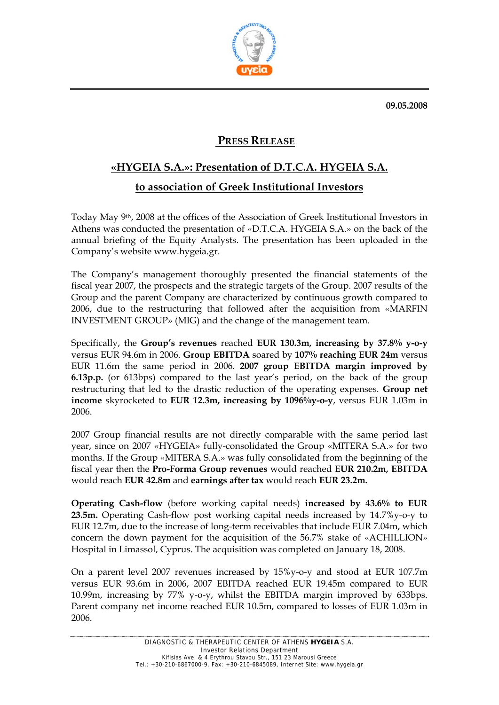**09.05.2008** 



## **PRESS RELEASE**

## **«HYGEIA S.A.»: Presentation of D.T.C.A. HYGEIA S.A. to association of Greek Institutional Investors**

Today May 9th, 2008 at the offices of the Association of Greek Institutional Investors in Athens was conducted the presentation of «D.T.C.A. HYGEIA S.A.» on the back of the annual briefing of the Equity Analysts. The presentation has been uploaded in the Company's website www.hygeia.gr.

The Company's management thoroughly presented the financial statements of the fiscal year 2007, the prospects and the strategic targets of the Group. 2007 results of the Group and the parent Company are characterized by continuous growth compared to 2006, due to the restructuring that followed after the acquisition from «MARFIN INVESTMENT GROUP» (ΜΙG) and the change of the management team.

Specifically, the **Group's revenues** reached **EUR 130.3m, increasing by 37.8% y-o-y**  versus EUR 94.6m in 2006. **Group EBITDA** soared by **107% reaching EUR 24m** versus EUR 11.6m the same period in 2006. **2007 group EBITDA margin improved by 6.13p.p.** (or 613bps) compared to the last year's period, on the back of the group restructuring that led to the drastic reduction of the operating expenses. **Group net income** skyrocketed to **EUR 12.3m, increasing by 1096%y-o-y**, versus EUR 1.03m in 2006.

2007 Group financial results are not directly comparable with the same period last year, since on 2007 «HYGEIA» fully-consolidated the Group «ΜITERA S.A.» for two months. If the Group «ΜITERA S.A.» was fully consolidated from the beginning of the fiscal year then the **Pro-Forma Group revenues** would reached **EUR 210.2m, EBITDA**  would reach **EUR 42.8m** and **earnings after tax** would reach **EUR 23.2m.**

**Operating Cash-flow** (before working capital needs) **increased by 43.6% to EUR 23.5m.** Operating Cash-flow post working capital needs increased by 14.7%y-o-y to EUR 12.7m, due to the increase of long-term receivables that include EUR 7.04m, which concern the down payment for the acquisition of the 56.7% stake of «ACHILLION» Hospital in Limassol, Cyprus. The acquisition was completed on January 18, 2008.

On a parent level 2007 revenues increased by 15%y-o-y and stood at EUR 107.7m versus EUR 93.6m in 2006, 2007 EBITDA reached EUR 19.45m compared to EUR 10.99m, increasing by 77% y-o-y, whilst the EBITDA margin improved by 633bps. Parent company net income reached EUR 10.5m, compared to losses of EUR 1.03m in 2006.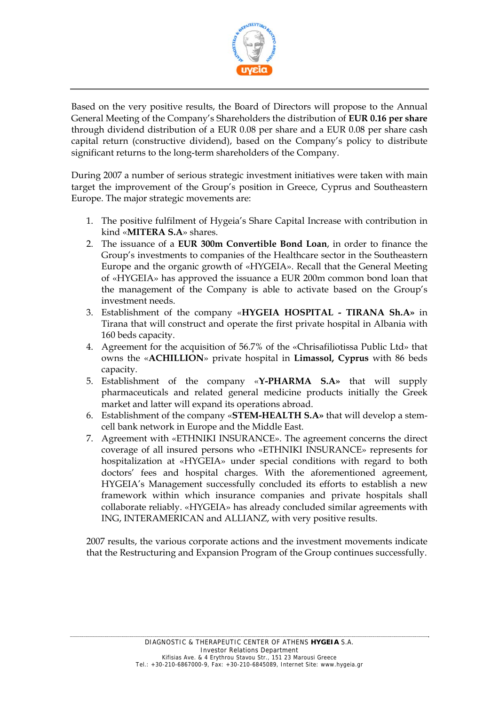

Based on the very positive results, the Board of Directors will propose to the Annual General Meeting of the Company's Shareholders the distribution of **EUR 0.16 per share** through dividend distribution of a EUR 0.08 per share and a EUR 0.08 per share cash capital return (constructive dividend), based on the Company's policy to distribute significant returns to the long-term shareholders of the Company.

During 2007 a number of serious strategic investment initiatives were taken with main target the improvement of the Group's position in Greece, Cyprus and Southeastern Europe. The major strategic movements are:

- 1. The positive fulfilment of Hygeia's Share Capital Increase with contribution in kind «**MITERA S.A**» shares.
- 2. The issuance of a **EUR 300m Convertible Bond Loan**, in order to finance the Group's investments to companies of the Healthcare sector in the Southeastern Europe and the organic growth of «HYGEIA». Recall that the General Meeting of «HYGEIA» has approved the issuance a EUR 200m common bond loan that the management of the Company is able to activate based on the Group's investment needs.
- 3. Establishment of the company «**HYGEIA HOSPITAL TIRANA Sh.A»** in Tirana that will construct and operate the first private hospital in Albania with 160 beds capacity.
- 4. Agreement for the acquisition of 56.7% of the «Chrisafiliotissa Public Ltd» that owns the «**ACHILLION**» private hospital in **Limassol, Cyprus** with 86 beds capacity.
- 5. Establishment of the company «**Y-PHARMA S.A»** that will supply pharmaceuticals and related general medicine products initially the Greek market and latter will expand its operations abroad.
- 6. Establishment of the company «**STEM-HEALTH S.A»** that will develop a stemcell bank network in Europe and the Middle East.
- 7. Agreement with «ETHNIKI INSURANCE». The agreement concerns the direct coverage of all insured persons who «ETHNIKI INSURANCE» represents for hospitalization at «HYGEIA» under special conditions with regard to both doctors' fees and hospital charges. With the aforementioned agreement, HYGEIA's Management successfully concluded its efforts to establish a new framework within which insurance companies and private hospitals shall collaborate reliably. «HYGEIA» has already concluded similar agreements with ING, INTERAMERICAN and ALLIANZ, with very positive results.

2007 results, the various corporate actions and the investment movements indicate that the Restructuring and Expansion Program of the Group continues successfully.